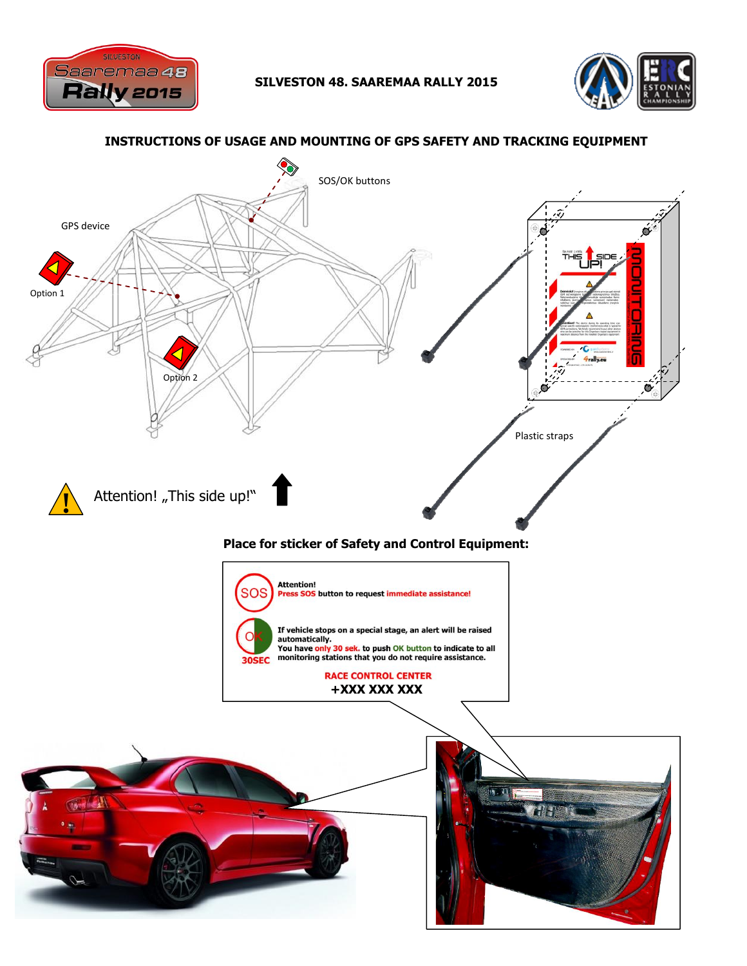

s s i



## **INSTRUCTIONS OF USAGE AND MOUNTING OF GPS SAFETY AND TRACKING EQUIPMENT** SOS/OK buttons GPS device σ  $\overline{\phantom{a}}$ Option 1 T Option 2 Ο i s Plastic straps**!** Attention! "This side up!"  $\mathbf{a}$ **Place for sticker of Safety and Control Equipment: Attention!** SOS Press SOS button to request immediate assistance! If vehicle stops on a special stage, an alert will be raised automatically.<br>You have only 30 sek, to push OK button to indicate to all **30SEC** monitoring stations that you do not require assistance. **RACE CONTROL CENTER +371 XX XXX +XXX XXX XXX**  $\tau$